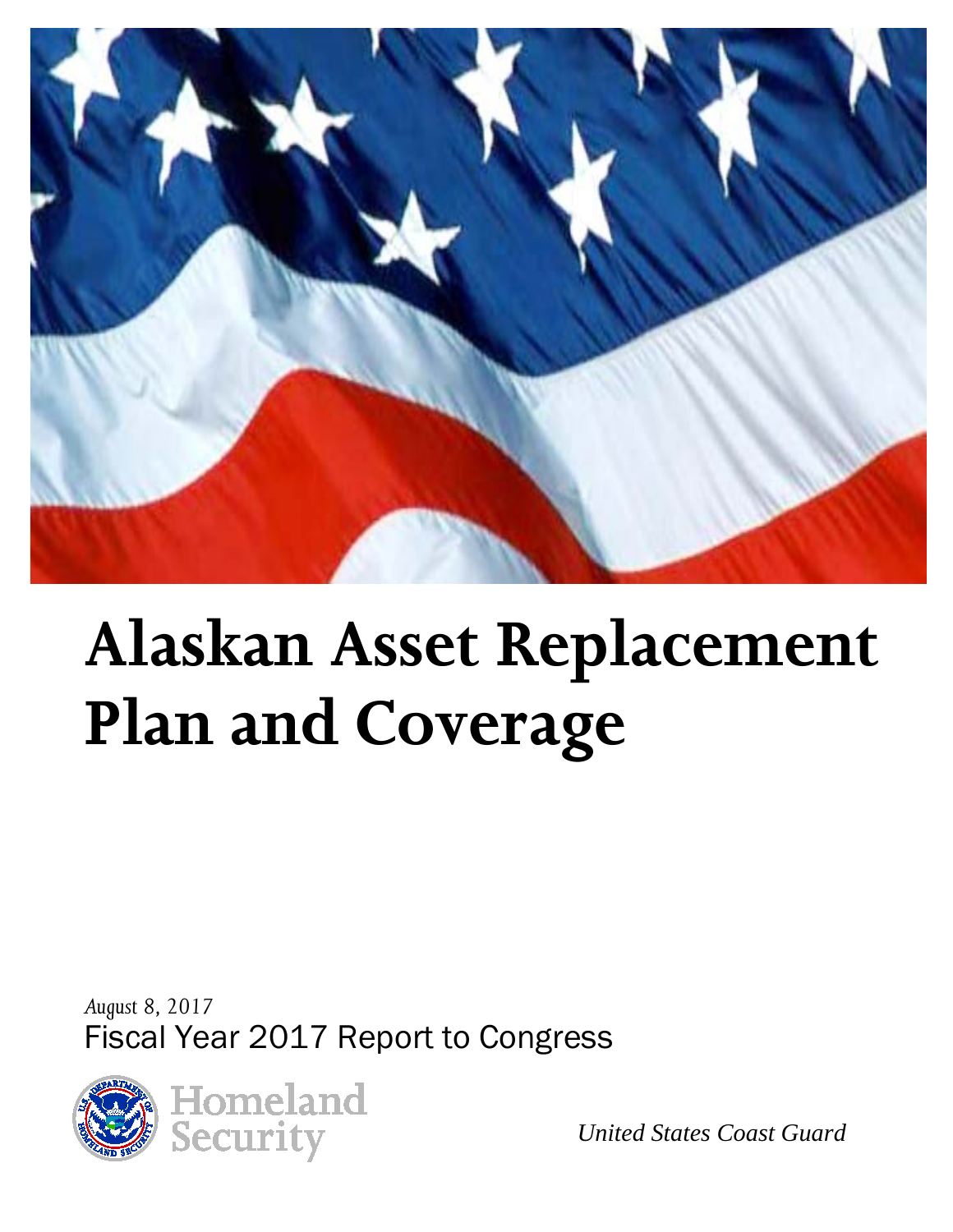

# **Alaskan Asset Replacement Plan and Coverage**

*August 8, 2017* Fiscal Year 2017 Report to Congress



*United States Coast Guard*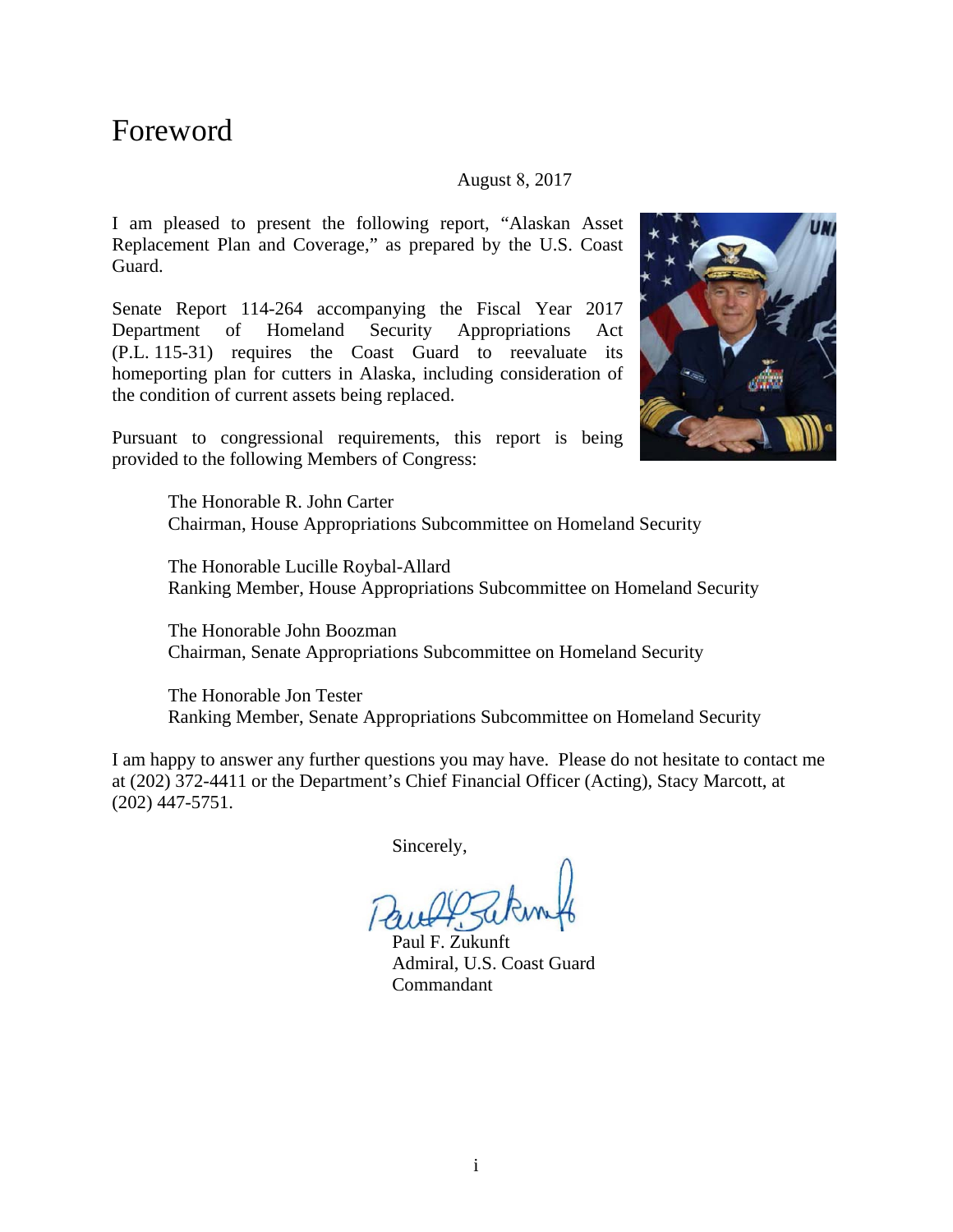### Foreword

#### August 8, 2017

I am pleased to present the following report, "Alaskan Asset Replacement Plan and Coverage," as prepared by the U.S. Coast Guard.

Senate Report 114-264 accompanying the Fiscal Year 2017 Department of Homeland Security Appropriations Act (P.L. 115-31) requires the Coast Guard to reevaluate its homeporting plan for cutters in Alaska, including consideration of the condition of current assets being replaced.

Pursuant to congressional requirements, this report is being provided to the following Members of Congress:



The Honorable R. John Carter Chairman, House Appropriations Subcommittee on Homeland Security

The Honorable Lucille Roybal-Allard Ranking Member, House Appropriations Subcommittee on Homeland Security

The Honorable John Boozman Chairman, Senate Appropriations Subcommittee on Homeland Security

The Honorable Jon Tester Ranking Member, Senate Appropriations Subcommittee on Homeland Security

I am happy to answer any further questions you may have. Please do not hesitate to contact me at (202) 372-4411 or the Department's Chief Financial Officer (Acting), Stacy Marcott, at (202) 447-5751.

Sincerely,

Paul F. Zukunft Admiral, U.S. Coast Guard Commandant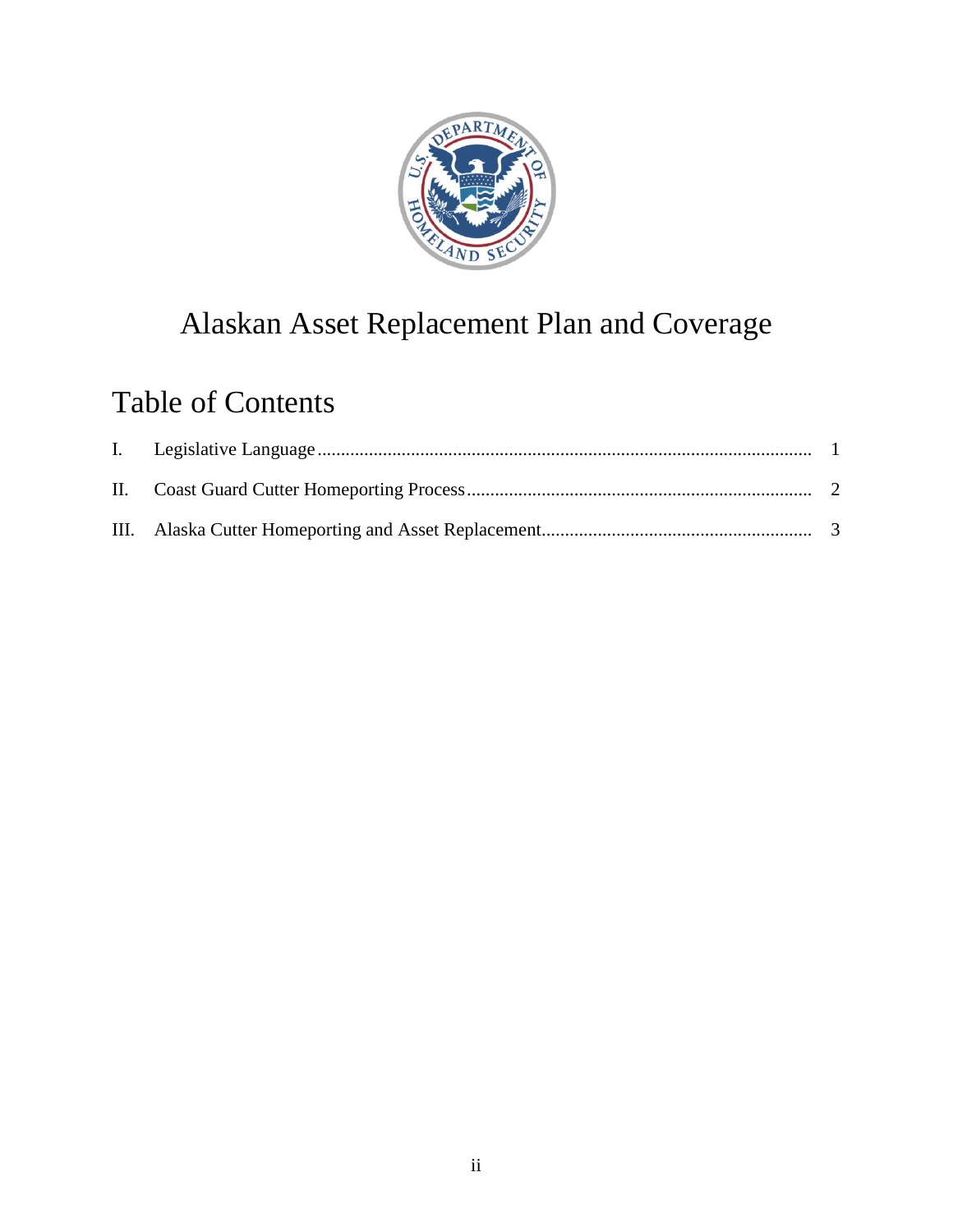

# Alaskan Asset Replacement Plan and Coverage

# Table of Contents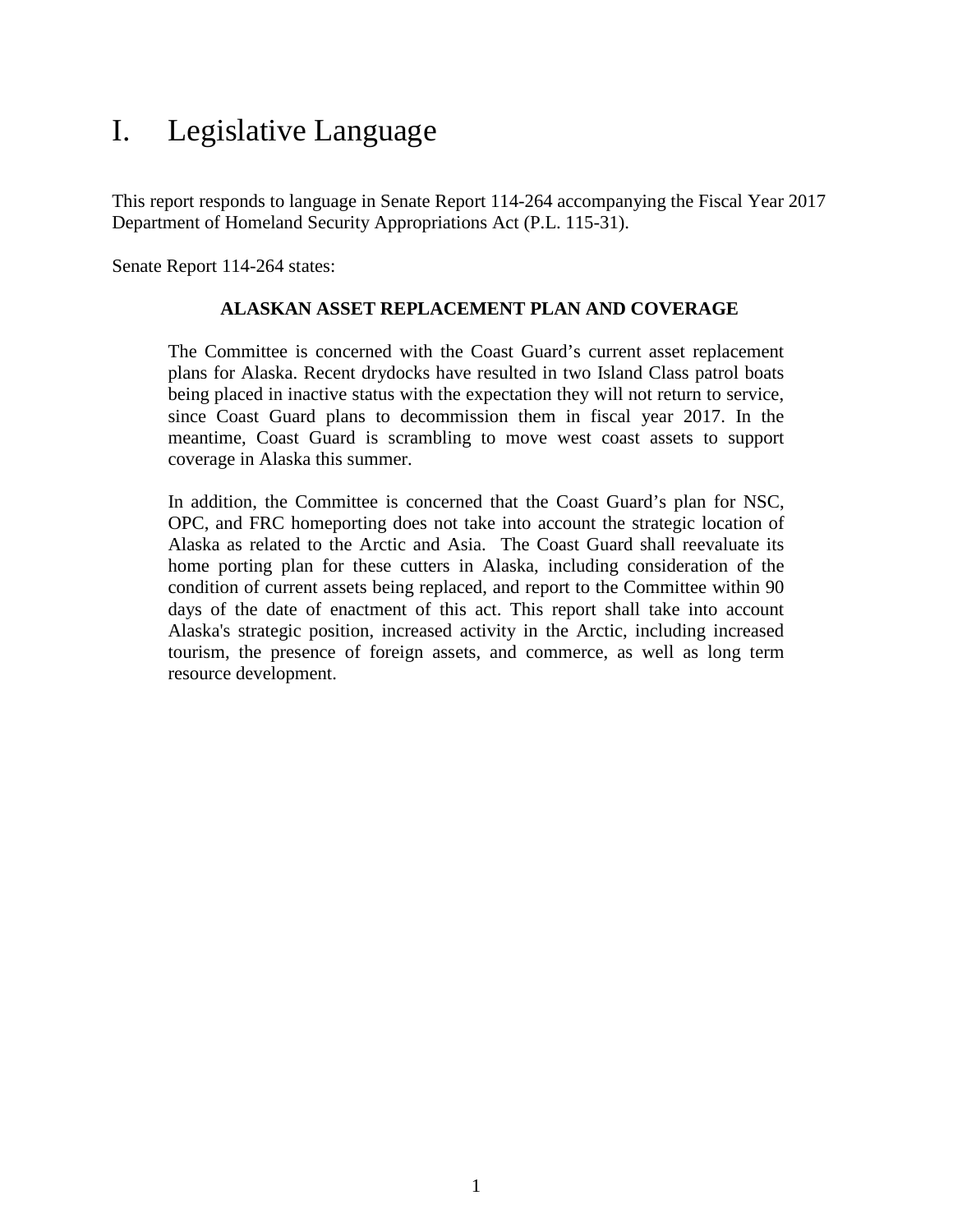## <span id="page-3-0"></span>I. Legislative Language

This report responds to language in Senate Report 114-264 accompanying the Fiscal Year 2017 Department of Homeland Security Appropriations Act (P.L. 115-31).

Senate Report 114-264 states:

#### **ALASKAN ASSET REPLACEMENT PLAN AND COVERAGE**

The Committee is concerned with the Coast Guard's current asset replacement plans for Alaska. Recent drydocks have resulted in two Island Class patrol boats being placed in inactive status with the expectation they will not return to service, since Coast Guard plans to decommission them in fiscal year 2017. In the meantime, Coast Guard is scrambling to move west coast assets to support coverage in Alaska this summer.

In addition, the Committee is concerned that the Coast Guard's plan for NSC, OPC, and FRC homeporting does not take into account the strategic location of Alaska as related to the Arctic and Asia. The Coast Guard shall reevaluate its home porting plan for these cutters in Alaska, including consideration of the condition of current assets being replaced, and report to the Committee within 90 days of the date of enactment of this act. This report shall take into account Alaska's strategic position, increased activity in the Arctic, including increased tourism, the presence of foreign assets, and commerce, as well as long term resource development.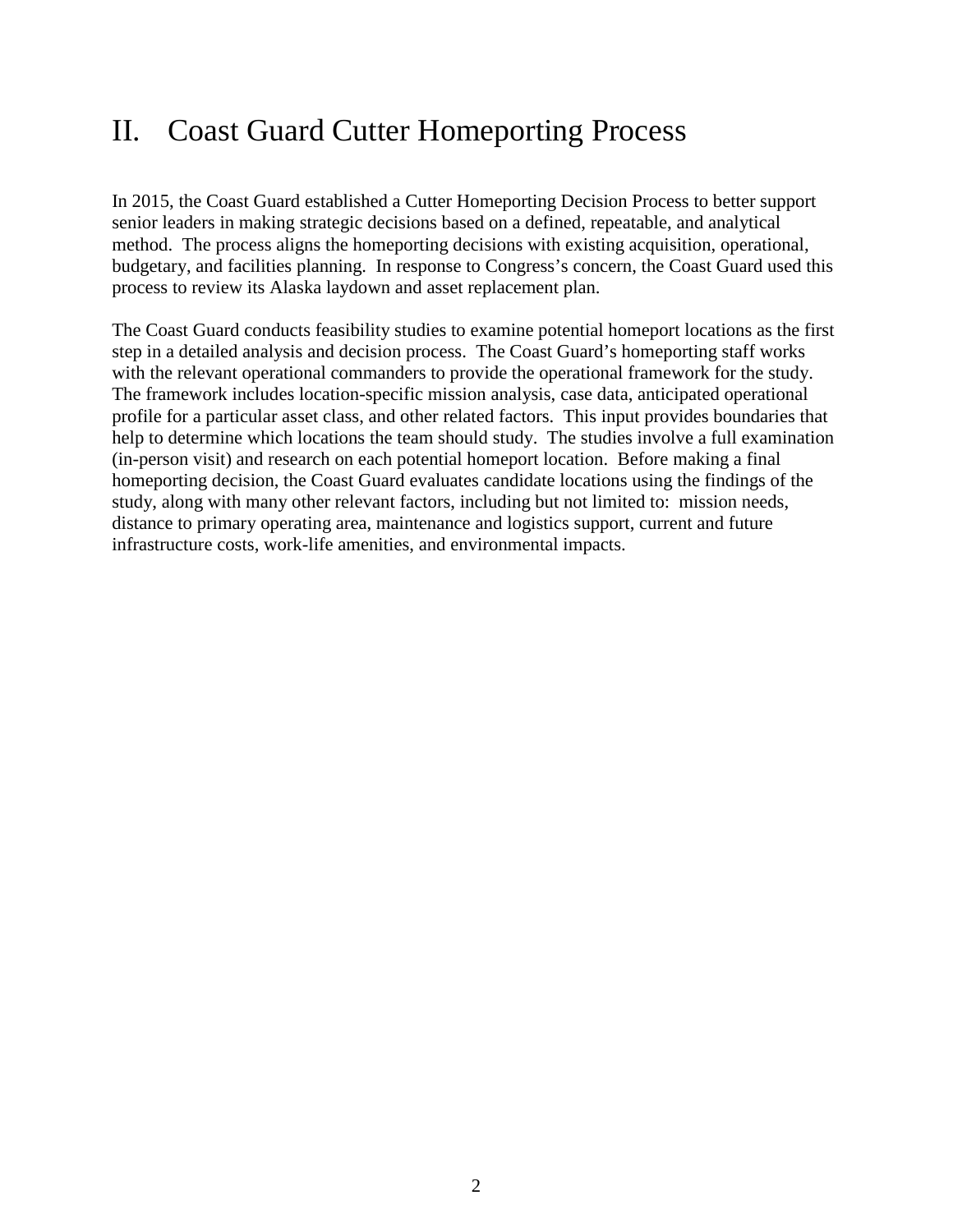# <span id="page-4-0"></span>II. Coast Guard Cutter Homeporting Process

In 2015, the Coast Guard established a Cutter Homeporting Decision Process to better support senior leaders in making strategic decisions based on a defined, repeatable, and analytical method. The process aligns the homeporting decisions with existing acquisition, operational, budgetary, and facilities planning. In response to Congress's concern, the Coast Guard used this process to review its Alaska laydown and asset replacement plan.

The Coast Guard conducts feasibility studies to examine potential homeport locations as the first step in a detailed analysis and decision process. The Coast Guard's homeporting staff works with the relevant operational commanders to provide the operational framework for the study. The framework includes location-specific mission analysis, case data, anticipated operational profile for a particular asset class, and other related factors. This input provides boundaries that help to determine which locations the team should study. The studies involve a full examination (in-person visit) and research on each potential homeport location. Before making a final homeporting decision, the Coast Guard evaluates candidate locations using the findings of the study, along with many other relevant factors, including but not limited to: mission needs, distance to primary operating area, maintenance and logistics support, current and future infrastructure costs, work-life amenities, and environmental impacts.